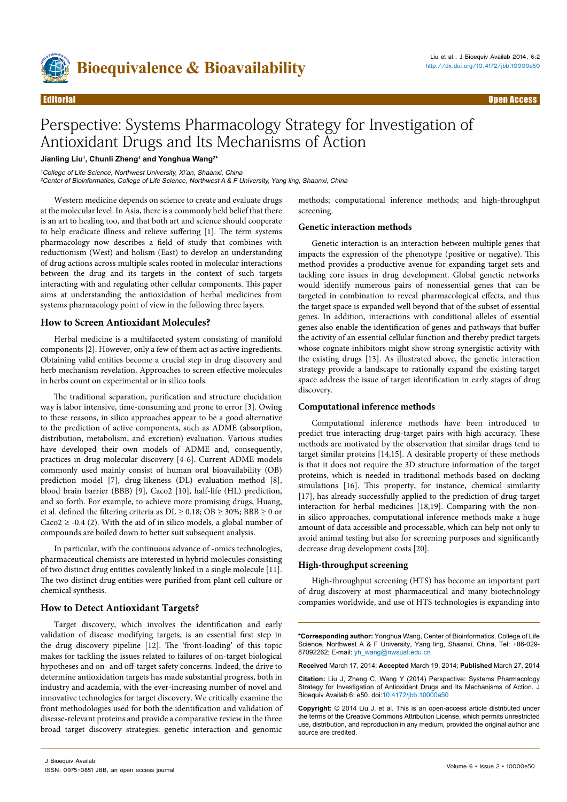

# Perspective: Systems Pharmacology Strategy for Investigation of Antioxidant Drugs and Its Mechanisms of Action

### **Jianling Liu1 , Chunli Zheng1 and Yonghua Wang2 \***

<sup>1</sup>College of Life Science, Northwest University, Xi'an, Shaanxi, China

<sup>2</sup>Center of Bioinformatics, College of Life Science, Northwest A & F University, Yang ling, Shaanxi, China

Western medicine depends on science to create and evaluate drugs at the molecular level. In Asia, there is a commonly held belief that there is an art to healing too, and that both art and science should cooperate to help eradicate illness and relieve suffering [1]. The term systems pharmacology now describes a field of study that combines with reductionism (West) and holism (East) to develop an understanding of drug actions across multiple scales rooted in molecular interactions between the drug and its targets in the context of such targets interacting with and regulating other cellular components. This paper aims at understanding the antioxidation of herbal medicines from systems pharmacology point of view in the following three layers.

# **How to Screen Antioxidant Molecules?**

Herbal medicine is a multifaceted system consisting of manifold components [2]. However, only a few of them act as active ingredients. Obtaining valid entities become a crucial step in drug discovery and herb mechanism revelation. Approaches to screen effective molecules in herbs count on experimental or in silico tools.

The traditional separation, purification and structure elucidation way is labor intensive, time-consuming and prone to error [3]. Owing to these reasons, in silico approaches appear to be a good alternative to the prediction of active components, such as ADME (absorption, distribution, metabolism, and excretion) evaluation. Various studies have developed their own models of ADME and, consequently, practices in drug molecular discovery [4-6]. Current ADME models commonly used mainly consist of human oral bioavailability (OB) prediction model [7], drug-likeness (DL) evaluation method [8], blood brain barrier (BBB) [9], Caco2 [10], half-life (HL) prediction, and so forth. For example, to achieve more promising drugs, Huang, et al. defined the filtering criteria as  $DL \ge 0.18$ ;  $OB \ge 30\%$ ; BBB  $\ge 0$  or Caco2  $\ge$  -0.4 (2). With the aid of in silico models, a global number of compounds are boiled down to better suit subsequent analysis.

In particular, with the continuous advance of -omics technologies, pharmaceutical chemists are interested in hybrid molecules consisting of two distinct drug entities covalently linked in a single molecule [11]. The two distinct drug entities were purified from plant cell culture or chemical synthesis.

# **How to Detect Antioxidant Targets?**

Target discovery, which involves the identification and early validation of disease modifying targets, is an essential first step in the drug discovery pipeline [12]. The 'front-loading' of this topic makes for tackling the issues related to failures of on-target biological hypotheses and on- and off-target safety concerns. Indeed, the drive to determine antioxidation targets has made substantial progress, both in industry and academia, with the ever-increasing number of novel and innovative technologies for target discovery. We critically examine the front methodologies used for both the identification and validation of disease-relevant proteins and provide a comparative review in the three broad target discovery strategies: genetic interaction and genomic methods; computational inference methods; and high-throughput screening.

#### **Genetic interaction methods**

Genetic interaction is an interaction between multiple genes that impacts the expression of the phenotype (positive or negative). This method provides a productive avenue for expanding target sets and tackling core issues in drug development. Global genetic networks would identify numerous pairs of nonessential genes that can be targeted in combination to reveal pharmacological effects, and thus the target space is expanded well beyond that of the subset of essential genes. In addition, interactions with conditional alleles of essential genes also enable the identification of genes and pathways that buffer the activity of an essential cellular function and thereby predict targets whose cognate inhibitors might show strong synergistic activity with the existing drugs [13]. As illustrated above, the genetic interaction strategy provide a landscape to rationally expand the existing target space address the issue of target identification in early stages of drug discovery.

# **Computational inference methods**

Computational inference methods have been introduced to predict true interacting drug-target pairs with high accuracy. These methods are motivated by the observation that similar drugs tend to target similar proteins [14,15]. A desirable property of these methods is that it does not require the 3D structure information of the target proteins, which is needed in traditional methods based on docking simulations [16]. This property, for instance, chemical similarity [17], has already successfully applied to the prediction of drug-target interaction for herbal medicines [18,19]. Comparing with the nonin silico approaches, computational inference methods make a huge amount of data accessible and processable, which can help not only to avoid animal testing but also for screening purposes and significantly decrease drug development costs [20].

#### **High-throughput screening**

High-throughput screening (HTS) has become an important part of drug discovery at most pharmaceutical and many biotechnology companies worldwide, and use of HTS technologies is expanding into

**\*Corresponding author:** Yonghua Wang, Center of Bioinformatics, College of Life Science, Northwest A & F University, Yang ling, Shaanxi, China, Tel: +86-029- 87092262; E-mail: yh\_wang@nwsuaf.edu.cn

**Received** March 17, 2014; **Accepted** March 19, 2014; **Published** March 27, 2014

**Citation:** Liu J, Zheng C, Wang Y (2014) Perspective: Systems Pharmacology Strategy for Investigation of Antioxidant Drugs and Its Mechanisms of Action. J Bioequiv Availab 6: e50. doi:[10.4172/jbb.10000e50](http://dx.doi.org/10.4172/jbb.10000e50)

**Copyright:** © 2014 Liu J, et al. This is an open-access article distributed under the terms of the Creative Commons Attribution License, which permits unrestricted use, distribution, and reproduction in any medium, provided the original author and source are credited.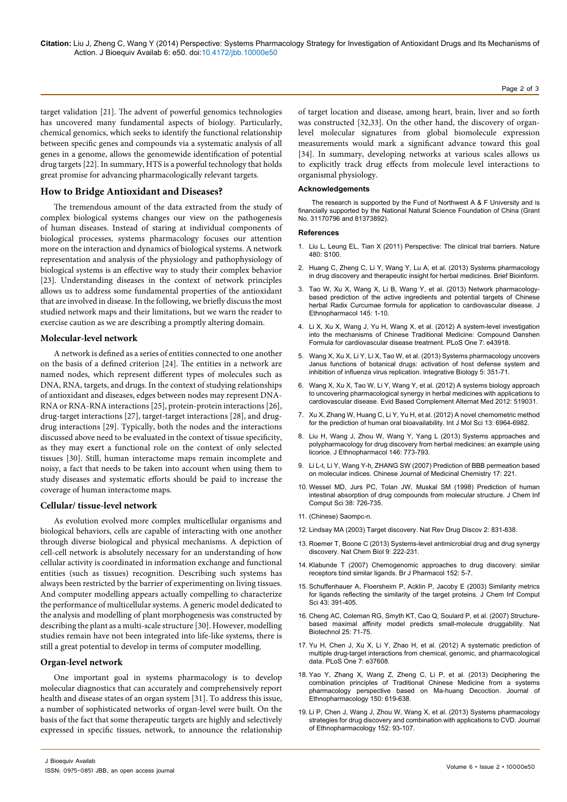Page 2 of 3

target validation [21]. The advent of powerful genomics technologies has uncovered many fundamental aspects of biology. Particularly, chemical genomics, which seeks to identify the functional relationship between specific genes and compounds via a systematic analysis of all genes in a genome, allows the genomewide identification of potential drug targets [22]. In summary, HTS is a powerful technology that holds great promise for advancing pharmacologically relevant targets.

# **How to Bridge Antioxidant and Diseases?**

The tremendous amount of the data extracted from the study of complex biological systems changes our view on the pathogenesis of human diseases. Instead of staring at individual components of biological processes, systems pharmacology focuses our attention more on the interaction and dynamics of biological systems. A network representation and analysis of the physiology and pathophysiology of biological systems is an effective way to study their complex behavior [23]. Understanding diseases in the context of network principles allows us to address some fundamental properties of the antioxidant that are involved in disease. In the following, we briefly discuss the most studied network maps and their limitations, but we warn the reader to exercise caution as we are describing a promptly altering domain.

### **Molecular-level network**

A network is defined as a series of entities connected to one another on the basis of a defined criterion [24]. The entities in a network are named nodes, which represent different types of molecules such as DNA, RNA, targets, and drugs. In the context of studying relationships of antioxidant and diseases, edges between nodes may represent DNA-RNA or RNA-RNA interactions [25], protein-protein interactions [26], drug-target interactions [27], target-target interactions [28], and drugdrug interactions [29]. Typically, both the nodes and the interactions discussed above need to be evaluated in the context of tissue specificity, as they may exert a functional role on the context of only selected tissues [30]. Still, human interactome maps remain incomplete and noisy, a fact that needs to be taken into account when using them to study diseases and systematic efforts should be paid to increase the coverage of human interactome maps.

#### **Cellular/ tissue-level network**

As evolution evolved more complex multicellular organisms and biological behaviors, cells are capable of interacting with one another through diverse biological and physical mechanisms. A depiction of cell-cell network is absolutely necessary for an understanding of how cellular activity is coordinated in information exchange and functional entities (such as tissues) recognition. Describing such systems has always been restricted by the barrier of experimenting on living tissues. And computer modelling appears actually compelling to characterize the performance of multicellular systems. A generic model dedicated to the analysis and modelling of plant morphogenesis was constructed by describing the plant as a multi-scale structure [30]. However, modelling studies remain have not been integrated into life-like systems, there is still a great potential to develop in terms of computer modelling.

# **Organ-level network**

One important goal in systems pharmacology is to develop molecular diagnostics that can accurately and comprehensively report health and disease states of an organ system [31]. To address this issue, a number of sophisticated networks of organ-level were built. On the basis of the fact that some therapeutic targets are highly and selectively expressed in specific tissues, network, to announce the relationship

of target location and disease, among heart, brain, liver and so forth was constructed [32,33]. On the other hand, the discovery of organlevel molecular signatures from global biomolecule expression measurements would mark a significant advance toward this goal [34]. In summary, developing networks at various scales allows us to explicitly track drug effects from molecule level interactions to organismal physiology.

#### **Acknowledgements**

The research is supported by the Fund of Northwest A & F University and is financially supported by the National Natural Science Foundation of China (Grant No. 31170796 and 81373892).

#### **References**

- 1. [Liu L, Leung EL, Tian X \(2011\) Perspective: The clinical trial barriers. Nature](http://www.ncbi.nlm.nih.gov/pubmed/22190082)  [480: S100.](http://www.ncbi.nlm.nih.gov/pubmed/22190082)
- 2. [Huang C, Zheng C, Li Y, Wang Y, Lu A, et al. \(2013\) Systems pharmacology](http://www.ncbi.nlm.nih.gov/pubmed/23736100)  [in drug discovery and therapeutic insight for herbal medicines. Brief Bioinform.](http://www.ncbi.nlm.nih.gov/pubmed/23736100)
- 3. [Tao W, Xu X, Wang X, Li B, Wang Y, et al. \(2013\) Network pharmacology](http://www.ncbi.nlm.nih.gov/pubmed/23142198)[based prediction of the active ingredients and potential targets of Chinese](http://www.ncbi.nlm.nih.gov/pubmed/23142198)  herbal Radix Curcumae formula for application to cardiovascular disease. J [Ethnopharmacol 145: 1-10.](http://www.ncbi.nlm.nih.gov/pubmed/23142198)
- 4. [Li X, Xu X, Wang J, Yu H, Wang X, et al. \(2012\) A system-level investigation](http://www.ncbi.nlm.nih.gov/pubmed/22962593)  [into the mechanisms of Chinese Traditional Medicine: Compound Danshen](http://www.ncbi.nlm.nih.gov/pubmed/22962593)  [Formula for cardiovascular disease treatment. PLoS One 7: e43918.](http://www.ncbi.nlm.nih.gov/pubmed/22962593)
- 5. [Wang X, Xu X, Li Y, Li X, Tao W, et al. \(2013\) Systems pharmacology uncovers](http://www.ncbi.nlm.nih.gov/pubmed/23168537)  [Janus functions of botanical drugs: activation of host defense system and](http://www.ncbi.nlm.nih.gov/pubmed/23168537)  [inhibition of influenza virus replication. Integrative Biology 5: 351-71.](http://www.ncbi.nlm.nih.gov/pubmed/23168537)
- 6. [Wang X, Xu X, Tao W, Li Y, Wang Y, et al. \(2012\) A systems biology approach](http://www.ncbi.nlm.nih.gov/pubmed/23243453)  [to uncovering pharmacological synergy in herbal medicines with applications to](http://www.ncbi.nlm.nih.gov/pubmed/23243453)  [cardiovascular disease. Evid Based Complement Alternat Med 2012: 519031.](http://www.ncbi.nlm.nih.gov/pubmed/23243453)
- 7. [Xu X, Zhang W, Huang C, Li Y, Yu H, et al. \(2012\) A novel chemometric method](http://www.ncbi.nlm.nih.gov/pubmed/22837674)  [for the prediction of human oral bioavailability. Int J Mol Sci 13: 6964-6982.](http://www.ncbi.nlm.nih.gov/pubmed/22837674)
- 8. [Liu H, Wang J, Zhou W, Wang Y, Yang L \(2013\) Systems approaches and](http://www.ncbi.nlm.nih.gov/pubmed/23415946)  [polypharmacology for drug discovery from herbal medicines: an example using](http://www.ncbi.nlm.nih.gov/pubmed/23415946)  [licorice. J Ethnopharmacol 146: 773-793.](http://www.ncbi.nlm.nih.gov/pubmed/23415946)
- 9. [Li L-t, Li Y, Wang Y-h, ZHANG SW \(2007\) Prediction of BBB permeation based](http://www.neuroinformatics2011.org/abstracts/prediction-of-blood-brain-barrier-permeation-based-on-molecular-indices)  [on molecular indices. Chinese Journal of Medicinal Chemistry 17: 221.](http://www.neuroinformatics2011.org/abstracts/prediction-of-blood-brain-barrier-permeation-based-on-molecular-indices)
- 10. [Wessel MD, Jurs PC, Tolan JW, Muskal SM \(1998\) Prediction of human](http://www.ncbi.nlm.nih.gov/pubmed/9691477)  [intestinal absorption of drug compounds from molecular structure. J Chem Inf](http://www.ncbi.nlm.nih.gov/pubmed/9691477)  [Comput Sci 38: 726-735.](http://www.ncbi.nlm.nih.gov/pubmed/9691477)
- 11. [\(Chinese\) Saompc-n.](http://www.istis.sh.cn/list/list.aspx?id=1787)
- 12. [Lindsay MA \(2003\) Target discovery. Nat Rev Drug Discov 2: 831-838.](http://www.ncbi.nlm.nih.gov/pubmed/14526386)
- 13. [Roemer T, Boone C \(2013\) Systems-level antimicrobial drug and drug synergy](http://www.ncbi.nlm.nih.gov/pubmed/23508188)  [discovery. Nat Chem Biol 9: 222-231.](http://www.ncbi.nlm.nih.gov/pubmed/23508188)
- 14. [Klabunde T \(2007\) Chemogenomic approaches to drug discovery: similar](http://www.ncbi.nlm.nih.gov/pubmed/17533415)  [receptors bind similar ligands. Br J Pharmacol 152: 5-7.](http://www.ncbi.nlm.nih.gov/pubmed/17533415)
- 15. [Schuffenhauer A, Floersheim P, Acklin P, Jacoby E \(2003\) Similarity metrics](http://www.ncbi.nlm.nih.gov/pubmed/12653501)  [for ligands reflecting the similarity of the target proteins. J Chem Inf Comput](http://www.ncbi.nlm.nih.gov/pubmed/12653501)  [Sci 43: 391-405.](http://www.ncbi.nlm.nih.gov/pubmed/12653501)
- 16. [Cheng AC, Coleman RG, Smyth KT, Cao Q, Soulard P, et al. \(2007\) Structure](http://www.ncbi.nlm.nih.gov/pubmed/17211405)[based maximal affinity model predicts small-molecule druggability. Nat](http://www.ncbi.nlm.nih.gov/pubmed/17211405)  [Biotechnol 25: 71-75.](http://www.ncbi.nlm.nih.gov/pubmed/17211405)
- 17. [Yu H, Chen J, Xu X, Li Y, Zhao H, et al. \(2012\) A systematic prediction of](http://www.ncbi.nlm.nih.gov/pubmed/22666371)  [multiple drug-target interactions from chemical, genomic, and pharmacological](http://www.ncbi.nlm.nih.gov/pubmed/22666371)  [data. PLoS One 7: e37608.](http://www.ncbi.nlm.nih.gov/pubmed/22666371)
- 18. [Yao Y, Zhang X, Wang Z, Zheng C, Li P, et al. \(2013\) Deciphering the](http://www.ncbi.nlm.nih.gov/pubmed/24064232)  [combination principles of Traditional Chinese Medicine from a systems](http://www.ncbi.nlm.nih.gov/pubmed/24064232)  [pharmacology perspective based on Ma-huang Decoction. Journal of](http://www.ncbi.nlm.nih.gov/pubmed/24064232)  [Ethnopharmacology 150: 619-638.](http://www.ncbi.nlm.nih.gov/pubmed/24064232)
- 19. [Li P, Chen J, Wang J, Zhou W, Wang X, et al. \(2013\) Systems pharmacology](http://www.ncbi.nlm.nih.gov/pubmed/23850710)  [strategies for drug discovery and combination with applications to CVD. Journal](http://www.ncbi.nlm.nih.gov/pubmed/23850710)  [of Ethnopharmacology 152: 93-107.](http://www.ncbi.nlm.nih.gov/pubmed/23850710)